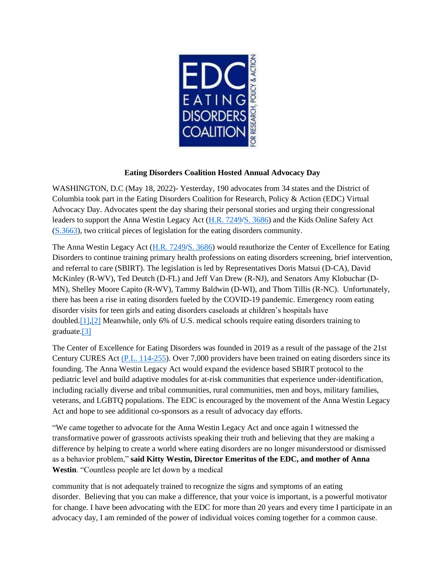

## **Eating Disorders Coalition Hosted Annual Advocacy Day**

WASHINGTON, D.C (May 18, 2022)- Yesterday, 190 advocates from 34 states and the District of Columbia took part in the Eating Disorders Coalition for Research, Policy & Action (EDC) Virtual Advocacy Day. Advocates spent the day sharing their personal stories and urging their congressional leaders to support the Anna Westin Legacy Act (H.R. 7249/S. 3686) and the Kids Online Safety Act (S.3663), two critical pieces of legislation for the eating disorders community.

The Anna Westin Legacy Act (H.R. 7249/S. 3686) would reauthorize the Center of Excellence for Eating Disorders to continue training primary health professions on eating disorders screening, brief intervention, and referral to care (SBIRT). The legislation is led by Representatives Doris Matsui (D-CA), David McKinley (R-WV), Ted Deutch (D-FL) and Jeff Van Drew (R-NJ), and Senators Amy Klobuchar (D-MN), Shelley Moore Capito (R-WV), Tammy Baldwin (D-WI), and Thom Tillis (R-NC). Unfortunately, there has been a rise in eating disorders fueled by the COVID-19 pandemic. Emergency room eating disorder visits for teen girls and eating disorders caseloads at children's hospitals have doubled.[1],[2] Meanwhile, only 6% of U.S. medical schools require eating disorders training to graduate.[3]

The Center of Excellence for Eating Disorders was founded in 2019 as a result of the passage of the 21st Century CURES Act (P.L. 114-255). Over 7,000 providers have been trained on eating disorders since its founding. The Anna Westin Legacy Act would expand the evidence based SBIRT protocol to the pediatric level and build adaptive modules for at-risk communities that experience under-identification, including racially diverse and tribal communities, rural communities, men and boys, military families, veterans, and LGBTQ populations. The EDC is encouraged by the movement of the Anna Westin Legacy Act and hope to see additional co-sponsors as a result of advocacy day efforts.

"We came together to advocate for the Anna Westin Legacy Act and once again I witnessed the transformative power of grassroots activists speaking their truth and believing that they are making a difference by helping to create a world where eating disorders are no longer misunderstood or dismissed as a behavior problem," **said Kitty Westin, Director Emeritus of the EDC, and mother of Anna Westin**. "Countless people are let down by a medical

community that is not adequately trained to recognize the signs and symptoms of an eating disorder. Believing that you can make a difference, that your voice is important, is a powerful motivator for change. I have been advocating with the EDC for more than 20 years and every time I participate in an advocacy day, I am reminded of the power of individual voices coming together for a common cause.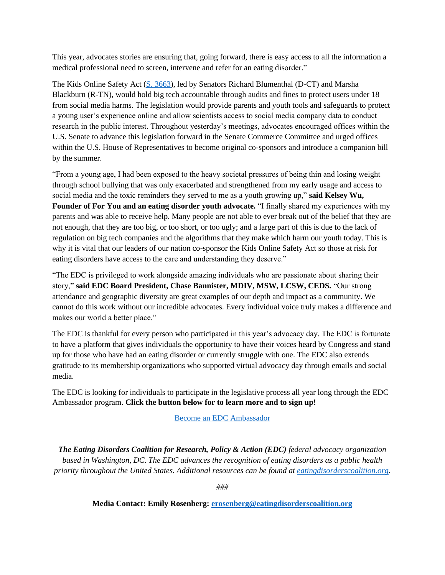This year, advocates stories are ensuring that, going forward, there is easy access to all the information a medical professional need to screen, intervene and refer for an eating disorder."

The Kids Online Safety Act [\(S. 3663\)](https://www.congress.gov/bill/117th-congress/senate-bill/3663?emci=1053ded5-cbd6-ec11-b656-281878b8c32f&emdi=ea000000-0000-0000-0000-000000000001&ceid=%7b%7bContactsEmailID%7d%7d), led by Senators Richard Blumenthal (D-CT) and Marsha Blackburn (R-TN), would hold big tech accountable through audits and fines to protect users under 18 from social media harms. The legislation would provide parents and youth tools and safeguards to protect a young user's experience online and allow scientists access to social media company data to conduct research in the public interest. Throughout yesterday's meetings, advocates encouraged offices within the U.S. Senate to advance this legislation forward in the Senate Commerce Committee and urged offices within the U.S. House of Representatives to become original co-sponsors and introduce a companion bill by the summer.

"From a young age, I had been exposed to the heavy societal pressures of being thin and losing weight through school bullying that was only exacerbated and strengthened from my early usage and access to social media and the toxic reminders they served to me as a youth growing up," **said Kelsey Wu, Founder of For You and an eating disorder youth advocate.** "I finally shared my experiences with my parents and was able to receive help. Many people are not able to ever break out of the belief that they are not enough, that they are too big, or too short, or too ugly; and a large part of this is due to the lack of regulation on big tech companies and the algorithms that they make which harm our youth today. This is why it is vital that our leaders of our nation co-sponsor the Kids Online Safety Act so those at risk for eating disorders have access to the care and understanding they deserve."

"The EDC is privileged to work alongside amazing individuals who are passionate about sharing their story," **said EDC Board President, Chase Bannister, MDIV, MSW, LCSW, CEDS.** "Our strong attendance and geographic diversity are great examples of our depth and impact as a community. We cannot do this work without our incredible advocates. Every individual voice truly makes a difference and makes our world a better place."

The EDC is thankful for every person who participated in this year's advocacy day. The EDC is fortunate to have a platform that gives individuals the opportunity to have their voices heard by Congress and stand up for those who have had an eating disorder or currently struggle with one. The EDC also extends gratitude to its membership organizations who supported virtual advocacy day through emails and social media.

The EDC is looking for individuals to participate in the legislative process all year long through the EDC Ambassador program. **Click the button below for to learn more and to sign up!**

## [Become an EDC Ambassador](https://secure.everyaction.com/4QJx-na9r0ed1YDxEAgtYw2?contactdata=%7b%7bContactData%7d%7d&emci=1053ded5-cbd6-ec11-b656-281878b8c32f&emdi=ea000000-0000-0000-0000-000000000001&ceid=%7b%7bContactsEmailID%7d%7d)

*The Eating Disorders Coalition for Research, Policy & Action (EDC) federal advocacy organization based in Washington, DC. The EDC advances the recognition of eating disorders as a public health priority throughout the United States. Additional resources can be found at [eatingdisorderscoalition.org](https://netorgft3556517-my.sharepoint.com/personal/emily_rosenberg_centerroadsolutions_com/Documents/eatingdisorderscoalition.org?emci=1053ded5-cbd6-ec11-b656-281878b8c32f&emdi=ea000000-0000-0000-0000-000000000001&ceid=%7b%7bContactsEmailID%7d%7d)*.

*###*

**Media Contact: Emily Rosenberg: [erosenberg@eatingdisorderscoalition.org](mailto:erosenberg@eatingdisorderscoalition.org)**